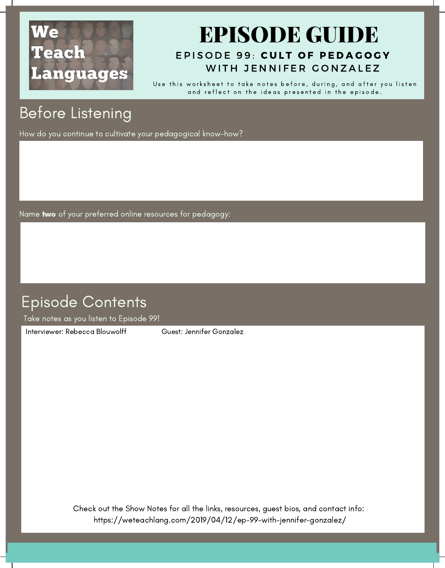# We Teach **Languages**

#### EPIS[O](https://weteachlang.com/2019/04/12/ep-99-with-jennifer-gonzalez/)DE 99: CULT OF PEDAGOGY EPISODE GUIDE WITH JENNIFER GONZALEZ

Use this worksheet to take notes before, during, and after you listen and reflect on the ideas presented in the episode.

## Before Listening

How do you continue to cultivate your pedagogical know-how?

Name two of your preferred online resources for pedagogy:

### Episode Contents

Take notes as you listen to Episode 99!

[Interviewer:](https://weteachlang.com/2018/08/31/ep-68-with-erin-whelchel) Rebecca Blouwolff Guest: Jennifer Gonzalez

Check out the Show Notes for all the links, resources, guest bios, and contact info: <https://weteachlang.com/2019/04/12/ep-99-with-jennifer-gonzalez/>